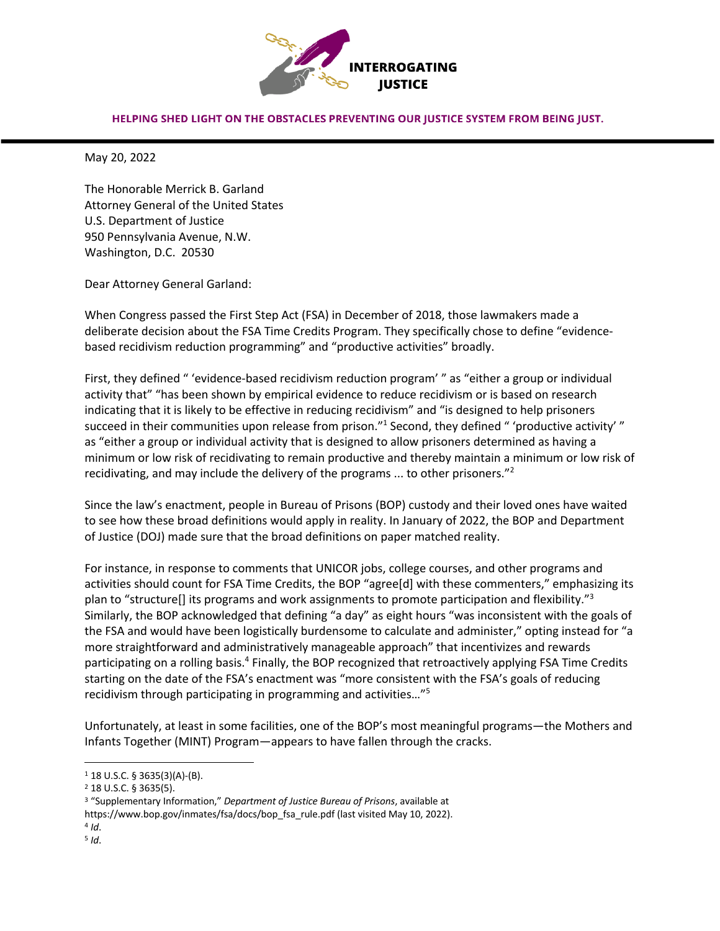

## HELPING SHED LIGHT ON THE OBSTACLES PREVENTING OUR JUSTICE SYSTEM FROM BEING JUST.

May 20, 2022

The Honorable Merrick B. Garland Attorney General of the United States U.S. Department of Justice 950 Pennsylvania Avenue, N.W. Washington, D.C. 20530

Dear Attorney General Garland:

When Congress passed the First Step Act (FSA) in December of 2018, those lawmakers made a deliberate decision about the FSA Time Credits Program. They specifically chose to define "evidencebased recidivism reduction programming" and "productive activities" broadly.

First, they defined " 'evidence-based recidivism reduction program' " as "either a group or individual activity that" "has been shown by empirical evidence to reduce recidivism or is based on research indicating that it is likely to be effective in reducing recidivism" and "is designed to help prisoners succeed in their communities upon release from prison."<sup>1</sup> Second, they defined " 'productive activity' " as "either a group or individual activity that is designed to allow prisoners determined as having a minimum or low risk of recidivating to remain productive and thereby maintain a minimum or low risk of recidivating, and may include the delivery of the programs  $\ldots$  to other prisoners."<sup>2</sup>

Since the law's enactment, people in Bureau of Prisons (BOP) custody and their loved ones have waited to see how these broad definitions would apply in reality. In January of 2022, the BOP and Department of Justice (DOJ) made sure that the broad definitions on paper matched reality.

For instance, in response to comments that UNICOR jobs, college courses, and other programs and activities should count for FSA Time Credits, the BOP "agree[d] with these commenters," emphasizing its plan to "structure[] its programs and work assignments to promote participation and flexibility."3 Similarly, the BOP acknowledged that defining "a day" as eight hours "was inconsistent with the goals of the FSA and would have been logistically burdensome to calculate and administer," opting instead for "a more straightforward and administratively manageable approach" that incentivizes and rewards participating on a rolling basis.4 Finally, the BOP recognized that retroactively applying FSA Time Credits starting on the date of the FSA's enactment was "more consistent with the FSA's goals of reducing recidivism through participating in programming and activities…"5

Unfortunately, at least in some facilities, one of the BOP's most meaningful programs—the Mothers and Infants Together (MINT) Program—appears to have fallen through the cracks.

 $4$  *Id*.

<sup>1</sup> 18 U.S.C. § 3635(3)(A)-(B).

<sup>2</sup> 18 U.S.C. § 3635(5).

<sup>3</sup> "Supplementary Information," *Department of Justice Bureau of Prisons*, available at

https://www.bop.gov/inmates/fsa/docs/bop\_fsa\_rule.pdf (last visited May 10, 2022).

<sup>5</sup> *Id*.